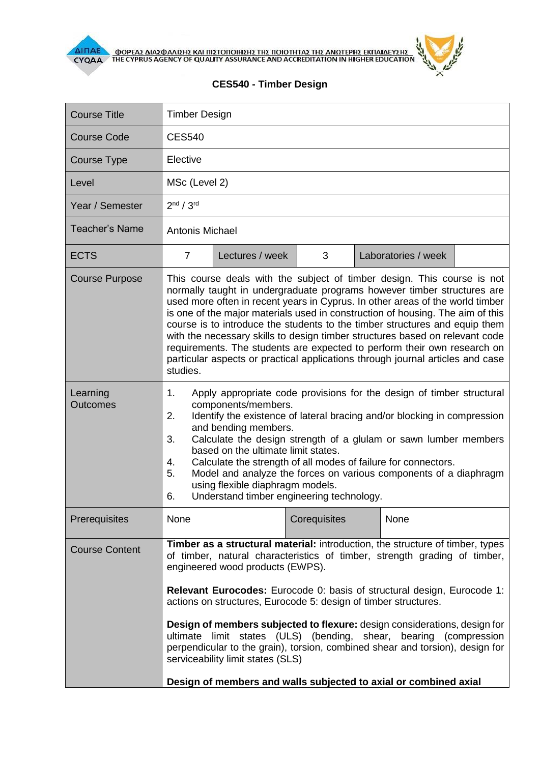



## **CES540 - Timber Design**

| <b>Course Title</b>         | <b>Timber Design</b>                                                                                                                                                                                                                                                                                                                                                                                                                                                                                                                                                                                                                                                                            |                 |              |  |                     |  |
|-----------------------------|-------------------------------------------------------------------------------------------------------------------------------------------------------------------------------------------------------------------------------------------------------------------------------------------------------------------------------------------------------------------------------------------------------------------------------------------------------------------------------------------------------------------------------------------------------------------------------------------------------------------------------------------------------------------------------------------------|-----------------|--------------|--|---------------------|--|
| <b>Course Code</b>          | <b>CES540</b>                                                                                                                                                                                                                                                                                                                                                                                                                                                                                                                                                                                                                                                                                   |                 |              |  |                     |  |
| <b>Course Type</b>          | Elective                                                                                                                                                                                                                                                                                                                                                                                                                                                                                                                                                                                                                                                                                        |                 |              |  |                     |  |
| Level                       | MSc (Level 2)                                                                                                                                                                                                                                                                                                                                                                                                                                                                                                                                                                                                                                                                                   |                 |              |  |                     |  |
| Year / Semester             | 2 <sup>nd</sup> / 3 <sup>rd</sup>                                                                                                                                                                                                                                                                                                                                                                                                                                                                                                                                                                                                                                                               |                 |              |  |                     |  |
| <b>Teacher's Name</b>       | <b>Antonis Michael</b>                                                                                                                                                                                                                                                                                                                                                                                                                                                                                                                                                                                                                                                                          |                 |              |  |                     |  |
| <b>ECTS</b>                 | $\overline{7}$                                                                                                                                                                                                                                                                                                                                                                                                                                                                                                                                                                                                                                                                                  | Lectures / week | 3            |  | Laboratories / week |  |
| <b>Course Purpose</b>       | This course deals with the subject of timber design. This course is not<br>normally taught in undergraduate programs however timber structures are<br>used more often in recent years in Cyprus. In other areas of the world timber<br>is one of the major materials used in construction of housing. The aim of this<br>course is to introduce the students to the timber structures and equip them<br>with the necessary skills to design timber structures based on relevant code<br>requirements. The students are expected to perform their own research on<br>particular aspects or practical applications through journal articles and case<br>studies.                                  |                 |              |  |                     |  |
| Learning<br><b>Outcomes</b> | Apply appropriate code provisions for the design of timber structural<br>1.<br>components/members.<br>Identify the existence of lateral bracing and/or blocking in compression<br>2.<br>and bending members.<br>Calculate the design strength of a glulam or sawn lumber members<br>3.<br>based on the ultimate limit states.<br>Calculate the strength of all modes of failure for connectors.<br>4.<br>5.<br>Model and analyze the forces on various components of a diaphragm<br>using flexible diaphragm models.<br>Understand timber engineering technology.<br>6.                                                                                                                         |                 |              |  |                     |  |
| Prerequisites               | None                                                                                                                                                                                                                                                                                                                                                                                                                                                                                                                                                                                                                                                                                            |                 | Corequisites |  | None                |  |
| <b>Course Content</b>       | Timber as a structural material: introduction, the structure of timber, types<br>of timber, natural characteristics of timber, strength grading of timber,<br>engineered wood products (EWPS).<br><b>Relevant Eurocodes:</b> Eurocode 0: basis of structural design, Eurocode 1:<br>actions on structures, Eurocode 5: design of timber structures.<br>Design of members subjected to flexure: design considerations, design for<br>ultimate limit states (ULS) (bending, shear, bearing (compression<br>perpendicular to the grain), torsion, combined shear and torsion), design for<br>serviceability limit states (SLS)<br>Design of members and walls subjected to axial or combined axial |                 |              |  |                     |  |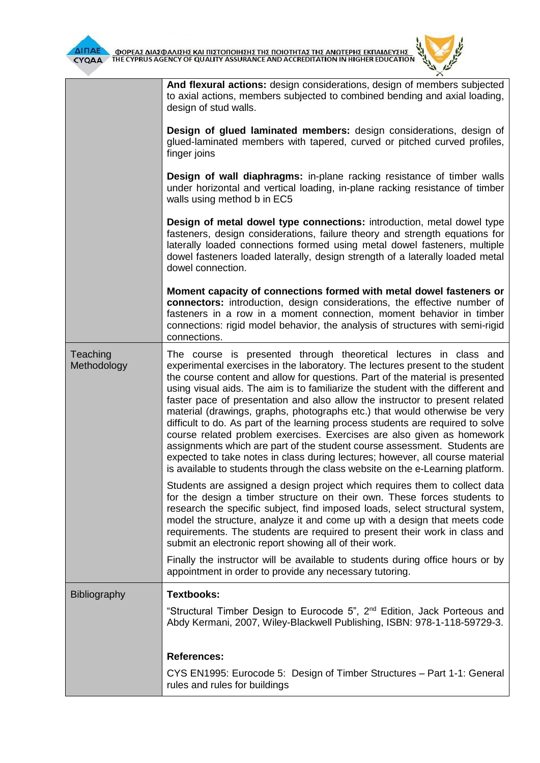



|                         | And flexural actions: design considerations, design of members subjected<br>to axial actions, members subjected to combined bending and axial loading,<br>design of stud walls.<br>Design of glued laminated members: design considerations, design of<br>glued-laminated members with tapered, curved or pitched curved profiles,<br>finger joins<br><b>Design of wall diaphragms:</b> in-plane racking resistance of timber walls<br>under horizontal and vertical loading, in-plane racking resistance of timber<br>walls using method b in EC5                                                                                                                                                                                                                                                                                                                                                |  |  |  |  |
|-------------------------|---------------------------------------------------------------------------------------------------------------------------------------------------------------------------------------------------------------------------------------------------------------------------------------------------------------------------------------------------------------------------------------------------------------------------------------------------------------------------------------------------------------------------------------------------------------------------------------------------------------------------------------------------------------------------------------------------------------------------------------------------------------------------------------------------------------------------------------------------------------------------------------------------|--|--|--|--|
|                         |                                                                                                                                                                                                                                                                                                                                                                                                                                                                                                                                                                                                                                                                                                                                                                                                                                                                                                   |  |  |  |  |
|                         |                                                                                                                                                                                                                                                                                                                                                                                                                                                                                                                                                                                                                                                                                                                                                                                                                                                                                                   |  |  |  |  |
|                         | Design of metal dowel type connections: introduction, metal dowel type<br>fasteners, design considerations, failure theory and strength equations for<br>laterally loaded connections formed using metal dowel fasteners, multiple<br>dowel fasteners loaded laterally, design strength of a laterally loaded metal<br>dowel connection.                                                                                                                                                                                                                                                                                                                                                                                                                                                                                                                                                          |  |  |  |  |
|                         | Moment capacity of connections formed with metal dowel fasteners or<br>connectors: introduction, design considerations, the effective number of<br>fasteners in a row in a moment connection, moment behavior in timber<br>connections: rigid model behavior, the analysis of structures with semi-rigid<br>connections.                                                                                                                                                                                                                                                                                                                                                                                                                                                                                                                                                                          |  |  |  |  |
| Teaching<br>Methodology | The course is presented through theoretical lectures in class and<br>experimental exercises in the laboratory. The lectures present to the student<br>the course content and allow for questions. Part of the material is presented<br>using visual aids. The aim is to familiarize the student with the different and<br>faster pace of presentation and also allow the instructor to present related<br>material (drawings, graphs, photographs etc.) that would otherwise be very<br>difficult to do. As part of the learning process students are required to solve<br>course related problem exercises. Exercises are also given as homework<br>assignments which are part of the student course assessment. Students are<br>expected to take notes in class during lectures; however, all course material<br>is available to students through the class website on the e-Learning platform. |  |  |  |  |
|                         | Students are assigned a design project which requires them to collect data<br>for the design a timber structure on their own. These forces students to<br>research the specific subject, find imposed loads, select structural system,<br>model the structure, analyze it and come up with a design that meets code<br>requirements. The students are required to present their work in class and<br>submit an electronic report showing all of their work.                                                                                                                                                                                                                                                                                                                                                                                                                                       |  |  |  |  |
|                         | Finally the instructor will be available to students during office hours or by<br>appointment in order to provide any necessary tutoring.                                                                                                                                                                                                                                                                                                                                                                                                                                                                                                                                                                                                                                                                                                                                                         |  |  |  |  |
| <b>Bibliography</b>     | <b>Textbooks:</b>                                                                                                                                                                                                                                                                                                                                                                                                                                                                                                                                                                                                                                                                                                                                                                                                                                                                                 |  |  |  |  |
|                         | "Structural Timber Design to Eurocode 5", 2 <sup>nd</sup> Edition, Jack Porteous and<br>Abdy Kermani, 2007, Wiley-Blackwell Publishing, ISBN: 978-1-118-59729-3.                                                                                                                                                                                                                                                                                                                                                                                                                                                                                                                                                                                                                                                                                                                                  |  |  |  |  |
|                         | <b>References:</b>                                                                                                                                                                                                                                                                                                                                                                                                                                                                                                                                                                                                                                                                                                                                                                                                                                                                                |  |  |  |  |
|                         | CYS EN1995: Eurocode 5: Design of Timber Structures – Part 1-1: General<br>rules and rules for buildings                                                                                                                                                                                                                                                                                                                                                                                                                                                                                                                                                                                                                                                                                                                                                                                          |  |  |  |  |